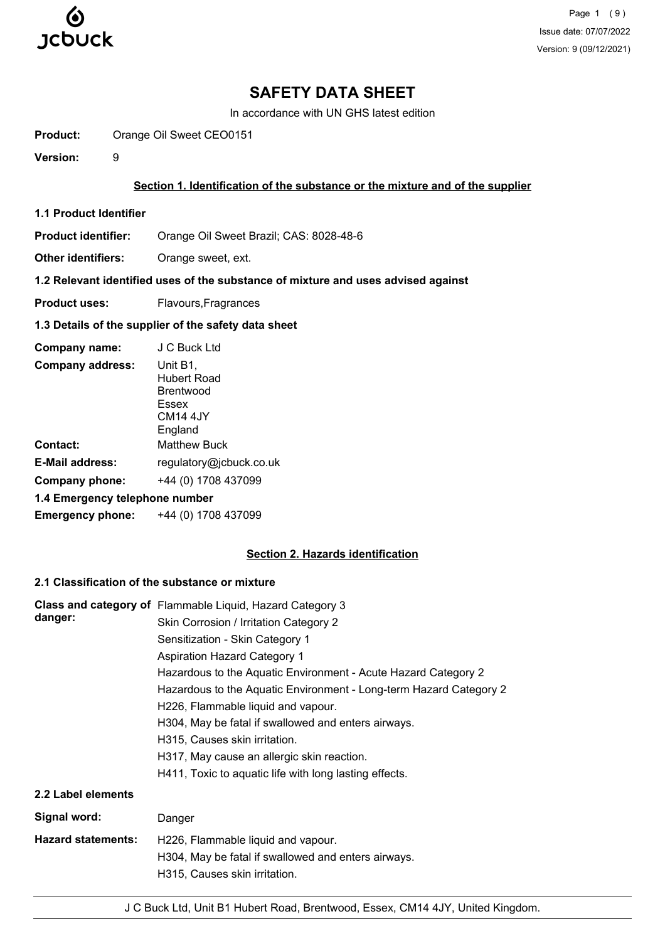

Page 1 (9) Issue date: 07/07/2022 Version: 9 (09/12/2021)

# **SAFETY DATA SHEET**

In accordance with UN GHS latest edition

**Product:** Orange Oil Sweet CEO0151

**Version:** 9

#### **Section 1. Identification of the substance or the mixture and of the supplier**

**1.1 Product Identifier**

**Product identifier:** Orange Oil Sweet Brazil; CAS: 8028-48-6

**Other identifiers:** Orange sweet, ext.

## **1.2 Relevant identified uses of the substance of mixture and uses advised against**

**Product uses:** Flavours, Fragrances

# **1.3 Details of the supplier of the safety data sheet**

| Company name:                  | J C Buck Ltd                                                                            |
|--------------------------------|-----------------------------------------------------------------------------------------|
| <b>Company address:</b>        | Unit B1,<br>Hubert Road<br><b>Brentwood</b><br>Essex<br>CM <sub>14</sub> 4JY<br>England |
| Contact:                       | <b>Matthew Buck</b>                                                                     |
| <b>E-Mail address:</b>         | regulatory@jcbuck.co.uk                                                                 |
| Company phone:                 | +44 (0) 1708 437099                                                                     |
| 1.4 Emergency telephone number |                                                                                         |
| <b>Emergency phone:</b>        | +44 (0) 1708 437099                                                                     |

#### **Section 2. Hazards identification**

# **2.1 Classification of the substance or mixture**

| danger:                   | Class and category of Flammable Liquid, Hazard Category 3<br>Skin Corrosion / Irritation Category 2<br>Sensitization - Skin Category 1<br><b>Aspiration Hazard Category 1</b><br>Hazardous to the Aquatic Environment - Acute Hazard Category 2<br>Hazardous to the Aquatic Environment - Long-term Hazard Category 2<br>H226, Flammable liquid and vapour.<br>H304, May be fatal if swallowed and enters airways.<br>H315, Causes skin irritation.<br>H317, May cause an allergic skin reaction.<br>H411, Toxic to aquatic life with long lasting effects. |
|---------------------------|-------------------------------------------------------------------------------------------------------------------------------------------------------------------------------------------------------------------------------------------------------------------------------------------------------------------------------------------------------------------------------------------------------------------------------------------------------------------------------------------------------------------------------------------------------------|
| 2.2 Label elements        |                                                                                                                                                                                                                                                                                                                                                                                                                                                                                                                                                             |
| Signal word:              | Danger                                                                                                                                                                                                                                                                                                                                                                                                                                                                                                                                                      |
| <b>Hazard statements:</b> | H226, Flammable liquid and vapour.<br>H304, May be fatal if swallowed and enters airways.<br>H315, Causes skin irritation.                                                                                                                                                                                                                                                                                                                                                                                                                                  |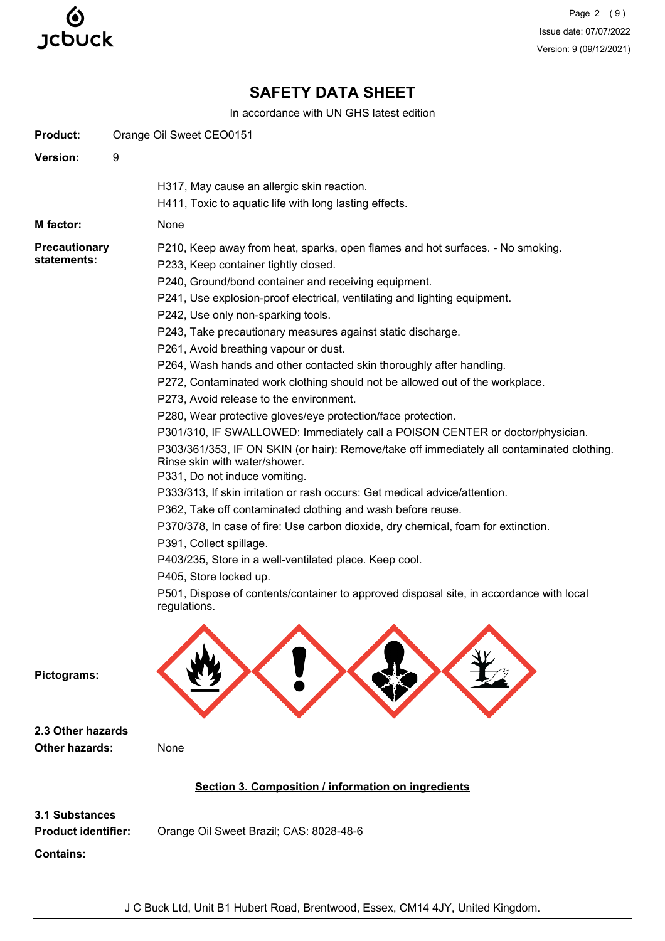

Page 2 (9) Issue date: 07/07/2022 Version: 9 (09/12/2021)

# **SAFETY DATA SHEET**

In accordance with UN GHS latest edition

|                                                                         | ili accoluatice with ON GHS latest edition                                                                                                                                                                                                                                                                                                                                                                                                                                                                                                                                                                                                                                                                                                                                                                           |
|-------------------------------------------------------------------------|----------------------------------------------------------------------------------------------------------------------------------------------------------------------------------------------------------------------------------------------------------------------------------------------------------------------------------------------------------------------------------------------------------------------------------------------------------------------------------------------------------------------------------------------------------------------------------------------------------------------------------------------------------------------------------------------------------------------------------------------------------------------------------------------------------------------|
| <b>Product:</b>                                                         | Orange Oil Sweet CEO0151                                                                                                                                                                                                                                                                                                                                                                                                                                                                                                                                                                                                                                                                                                                                                                                             |
| Version:                                                                | 9                                                                                                                                                                                                                                                                                                                                                                                                                                                                                                                                                                                                                                                                                                                                                                                                                    |
|                                                                         | H317, May cause an allergic skin reaction.                                                                                                                                                                                                                                                                                                                                                                                                                                                                                                                                                                                                                                                                                                                                                                           |
|                                                                         | H411, Toxic to aquatic life with long lasting effects.                                                                                                                                                                                                                                                                                                                                                                                                                                                                                                                                                                                                                                                                                                                                                               |
| M factor:                                                               | None                                                                                                                                                                                                                                                                                                                                                                                                                                                                                                                                                                                                                                                                                                                                                                                                                 |
| <b>Precautionary</b><br>statements:                                     | P210, Keep away from heat, sparks, open flames and hot surfaces. - No smoking.<br>P233, Keep container tightly closed.<br>P240, Ground/bond container and receiving equipment.<br>P241, Use explosion-proof electrical, ventilating and lighting equipment.<br>P242, Use only non-sparking tools.<br>P243, Take precautionary measures against static discharge.                                                                                                                                                                                                                                                                                                                                                                                                                                                     |
|                                                                         | P261, Avoid breathing vapour or dust.<br>P264, Wash hands and other contacted skin thoroughly after handling.<br>P272, Contaminated work clothing should not be allowed out of the workplace.                                                                                                                                                                                                                                                                                                                                                                                                                                                                                                                                                                                                                        |
| Pictograms:                                                             | P273, Avoid release to the environment.<br>P280, Wear protective gloves/eye protection/face protection.<br>P301/310, IF SWALLOWED: Immediately call a POISON CENTER or doctor/physician.<br>P303/361/353, IF ON SKIN (or hair): Remove/take off immediately all contaminated clothing.<br>Rinse skin with water/shower.<br>P331, Do not induce vomiting.<br>P333/313, If skin irritation or rash occurs: Get medical advice/attention.<br>P362, Take off contaminated clothing and wash before reuse.<br>P370/378, In case of fire: Use carbon dioxide, dry chemical, foam for extinction.<br>P391, Collect spillage.<br>P403/235, Store in a well-ventilated place. Keep cool.<br>P405, Store locked up.<br>P501, Dispose of contents/container to approved disposal site, in accordance with local<br>regulations. |
| 2.3 Other hazards<br>Other hazards:                                     | None                                                                                                                                                                                                                                                                                                                                                                                                                                                                                                                                                                                                                                                                                                                                                                                                                 |
|                                                                         | Section 3. Composition / information on ingredients                                                                                                                                                                                                                                                                                                                                                                                                                                                                                                                                                                                                                                                                                                                                                                  |
| <b>3.1 Substances</b><br><b>Product identifier:</b><br><b>Contains:</b> | Orange Oil Sweet Brazil; CAS: 8028-48-6                                                                                                                                                                                                                                                                                                                                                                                                                                                                                                                                                                                                                                                                                                                                                                              |
|                                                                         |                                                                                                                                                                                                                                                                                                                                                                                                                                                                                                                                                                                                                                                                                                                                                                                                                      |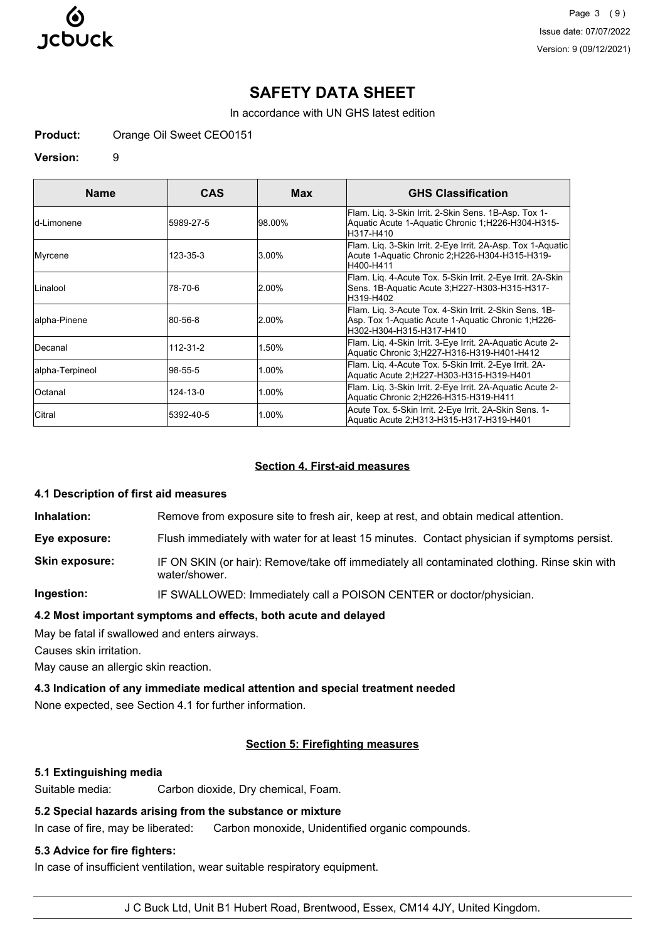

Page 3 (9) Issue date: 07/07/2022 Version: 9 (09/12/2021)

# **SAFETY DATA SHEET**

In accordance with UN GHS latest edition

**Product:** Orange Oil Sweet CEO0151

#### **Version:** 9

| <b>Name</b>     | CAS        | Max      | <b>GHS Classification</b>                                                                                                                  |
|-----------------|------------|----------|--------------------------------------------------------------------------------------------------------------------------------------------|
| ld-Limonene     | 15989-27-5 | 98.00%   | Flam. Lig. 3-Skin Irrit. 2-Skin Sens. 1B-Asp. Tox 1-<br>Aquatic Acute 1-Aquatic Chronic 1;H226-H304-H315-<br>H317-H410                     |
| Myrcene         | 123-35-3   | $3.00\%$ | Flam. Lig. 3-Skin Irrit. 2-Eye Irrit. 2A-Asp. Tox 1-Aquatic<br>Acute 1-Aquatic Chronic 2;H226-H304-H315-H319-<br>H400-H411                 |
| Linalool        | 78-70-6    | $2.00\%$ | Flam. Lig. 4-Acute Tox. 5-Skin Irrit. 2-Eye Irrit. 2A-Skin<br>Sens. 1B-Aquatic Acute 3;H227-H303-H315-H317-<br>H319-H402                   |
| alpha-Pinene    | 80-56-8    | $2.00\%$ | Flam. Liq. 3-Acute Tox. 4-Skin Irrit. 2-Skin Sens. 1B-<br>Asp. Tox 1-Aquatic Acute 1-Aquatic Chronic 1, H226-<br>IH302-H304-H315-H317-H410 |
| Decanal         | 112-31-2   | 1.50%    | Flam. Lig. 4-Skin Irrit. 3-Eye Irrit. 2A-Aquatic Acute 2-<br>Aquatic Chronic 3;H227-H316-H319-H401-H412                                    |
| alpha-Terpineol | 98-55-5    | 1.00%    | Flam. Lig. 4-Acute Tox. 5-Skin Irrit. 2-Eye Irrit. 2A-<br>Aquatic Acute 2;H227-H303-H315-H319-H401                                         |
| Octanal         | 124-13-0   | 1.00%    | Flam. Lig. 3-Skin Irrit. 2-Eye Irrit. 2A-Aquatic Acute 2-<br>Aquatic Chronic 2:H226-H315-H319-H411                                         |
| Citral          | 5392-40-5  | 1.00%    | Acute Tox. 5-Skin Irrit. 2-Eye Irrit. 2A-Skin Sens. 1-<br>Aquatic Acute 2;H313-H315-H317-H319-H401                                         |

#### **Section 4. First-aid measures**

#### **4.1 Description of first aid measures**

**Inhalation:** Remove from exposure site to fresh air, keep at rest, and obtain medical attention.

**Eye exposure:** Flush immediately with water for at least 15 minutes. Contact physician if symptoms persist.

**Skin exposure:** IF ON SKIN (or hair): Remove/take off immediately all contaminated clothing. Rinse skin with water/shower.

**Ingestion:** IF SWALLOWED: Immediately call a POISON CENTER or doctor/physician.

**4.2 Most important symptoms and effects, both acute and delayed**

May be fatal if swallowed and enters airways.

Causes skin irritation.

May cause an allergic skin reaction.

**4.3 Indication of any immediate medical attention and special treatment needed**

None expected, see Section 4.1 for further information.

## **Section 5: Firefighting measures**

#### **5.1 Extinguishing media**

Suitable media: Carbon dioxide, Dry chemical, Foam.

## **5.2 Special hazards arising from the substance or mixture**

In case of fire, may be liberated: Carbon monoxide, Unidentified organic compounds.

# **5.3 Advice for fire fighters:**

In case of insufficient ventilation, wear suitable respiratory equipment.

J C Buck Ltd, Unit B1 Hubert Road, Brentwood, Essex, CM14 4JY, United Kingdom.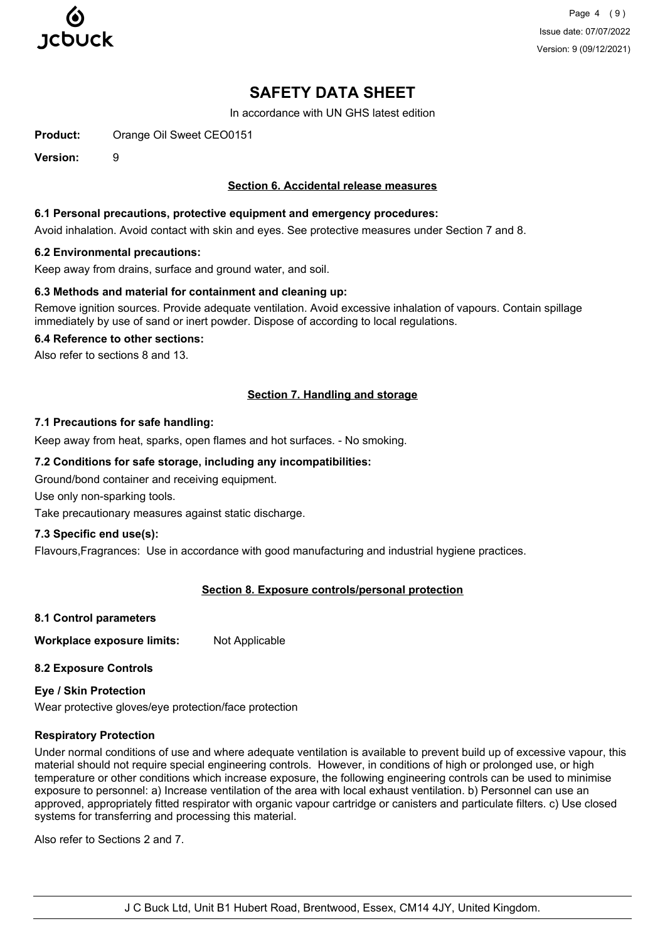

Page 4 (9) Issue date: 07/07/2022 Version: 9 (09/12/2021)

# **SAFETY DATA SHEET**

In accordance with UN GHS latest edition

**Product:** Orange Oil Sweet CEO0151

**Version:** 9

## **Section 6. Accidental release measures**

#### **6.1 Personal precautions, protective equipment and emergency procedures:**

Avoid inhalation. Avoid contact with skin and eyes. See protective measures under Section 7 and 8.

#### **6.2 Environmental precautions:**

Keep away from drains, surface and ground water, and soil.

#### **6.3 Methods and material for containment and cleaning up:**

Remove ignition sources. Provide adequate ventilation. Avoid excessive inhalation of vapours. Contain spillage immediately by use of sand or inert powder. Dispose of according to local regulations.

#### **6.4 Reference to other sections:**

Also refer to sections 8 and 13.

## **Section 7. Handling and storage**

#### **7.1 Precautions for safe handling:**

Keep away from heat, sparks, open flames and hot surfaces. - No smoking.

## **7.2 Conditions for safe storage, including any incompatibilities:**

Ground/bond container and receiving equipment.

Use only non-sparking tools.

Take precautionary measures against static discharge.

#### **7.3 Specific end use(s):**

Flavours,Fragrances: Use in accordance with good manufacturing and industrial hygiene practices.

#### **Section 8. Exposure controls/personal protection**

**8.1 Control parameters**

**Workplace exposure limits:** Not Applicable

**8.2 Exposure Controls**

**Eye / Skin Protection** Wear protective gloves/eye protection/face protection

#### **Respiratory Protection**

Under normal conditions of use and where adequate ventilation is available to prevent build up of excessive vapour, this material should not require special engineering controls. However, in conditions of high or prolonged use, or high temperature or other conditions which increase exposure, the following engineering controls can be used to minimise exposure to personnel: a) Increase ventilation of the area with local exhaust ventilation. b) Personnel can use an approved, appropriately fitted respirator with organic vapour cartridge or canisters and particulate filters. c) Use closed systems for transferring and processing this material.

Also refer to Sections 2 and 7.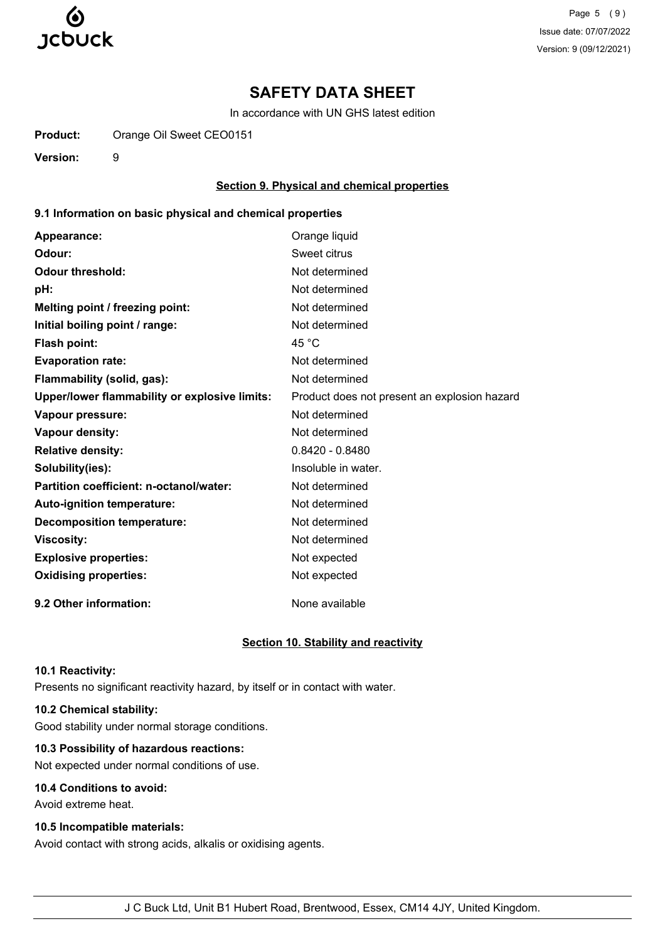

Page 5 (9) Issue date: 07/07/2022 Version: 9 (09/12/2021)

# **SAFETY DATA SHEET**

In accordance with UN GHS latest edition

**Product:** Orange Oil Sweet CEO0151

**Version:** 9

#### **Section 9. Physical and chemical properties**

### **9.1 Information on basic physical and chemical properties**

| Appearance:                                   | Orange liquid                                |
|-----------------------------------------------|----------------------------------------------|
| Odour:                                        | Sweet citrus                                 |
| <b>Odour threshold:</b>                       | Not determined                               |
| pH:                                           | Not determined                               |
| Melting point / freezing point:               | Not determined                               |
| Initial boiling point / range:                | Not determined                               |
| Flash point:                                  | 45 $^{\circ}$ C                              |
| <b>Evaporation rate:</b>                      | Not determined                               |
| Flammability (solid, gas):                    | Not determined                               |
| Upper/lower flammability or explosive limits: | Product does not present an explosion hazard |
| Vapour pressure:                              | Not determined                               |
| Vapour density:                               | Not determined                               |
| <b>Relative density:</b>                      | $0.8420 - 0.8480$                            |
| Solubility(ies):                              | Insoluble in water.                          |
| Partition coefficient: n-octanol/water:       | Not determined                               |
| Auto-ignition temperature:                    | Not determined                               |
| <b>Decomposition temperature:</b>             | Not determined                               |
| <b>Viscosity:</b>                             | Not determined                               |
| <b>Explosive properties:</b>                  | Not expected                                 |
| <b>Oxidising properties:</b>                  | Not expected                                 |
| 9.2 Other information:                        | None available                               |

#### **Section 10. Stability and reactivity**

#### **10.1 Reactivity:**

Presents no significant reactivity hazard, by itself or in contact with water.

## **10.2 Chemical stability:**

Good stability under normal storage conditions.

# **10.3 Possibility of hazardous reactions:**

Not expected under normal conditions of use.

# **10.4 Conditions to avoid:**

Avoid extreme heat.

# **10.5 Incompatible materials:**

Avoid contact with strong acids, alkalis or oxidising agents.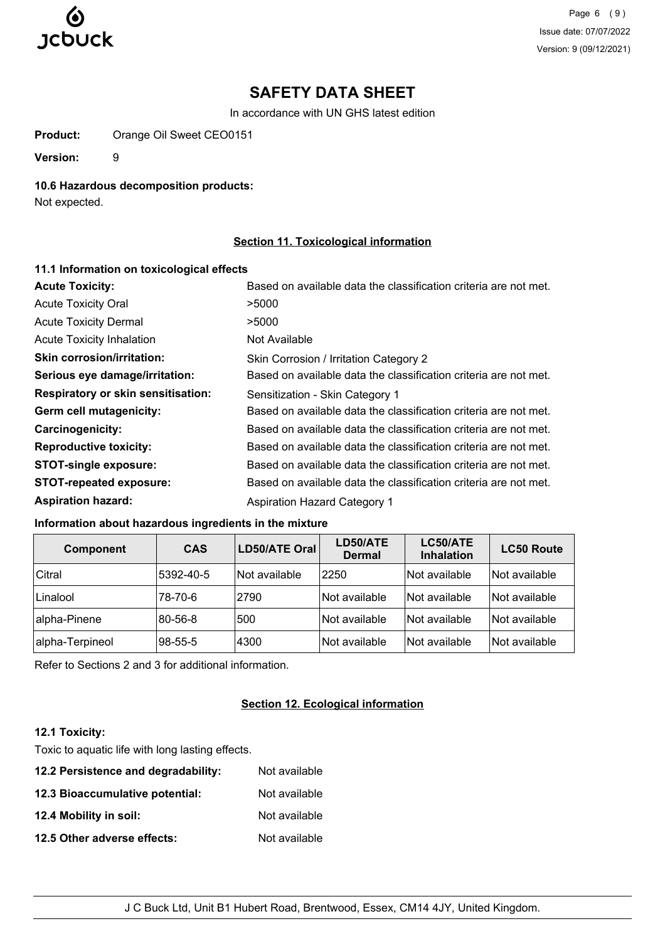

Page 6 (9) Issue date: 07/07/2022 Version: 9 (09/12/2021)

# **SAFETY DATA SHEET**

In accordance with UN GHS latest edition

**Product:** Orange Oil Sweet CEO0151

**Version:** 9

## **10.6 Hazardous decomposition products:**

Not expected.

## **Section 11. Toxicological information**

| 11.1 Information on toxicological effects |                                                                  |
|-------------------------------------------|------------------------------------------------------------------|
| <b>Acute Toxicity:</b>                    | Based on available data the classification criteria are not met. |
| <b>Acute Toxicity Oral</b>                | >5000                                                            |
| <b>Acute Toxicity Dermal</b>              | >5000                                                            |
| <b>Acute Toxicity Inhalation</b>          | Not Available                                                    |
| <b>Skin corrosion/irritation:</b>         | Skin Corrosion / Irritation Category 2                           |
| Serious eye damage/irritation:            | Based on available data the classification criteria are not met. |
| <b>Respiratory or skin sensitisation:</b> | Sensitization - Skin Category 1                                  |
| Germ cell mutagenicity:                   | Based on available data the classification criteria are not met. |
| Carcinogenicity:                          | Based on available data the classification criteria are not met. |
| <b>Reproductive toxicity:</b>             | Based on available data the classification criteria are not met. |
| <b>STOT-single exposure:</b>              | Based on available data the classification criteria are not met. |
| <b>STOT-repeated exposure:</b>            | Based on available data the classification criteria are not met. |
| <b>Aspiration hazard:</b>                 | <b>Aspiration Hazard Category 1</b>                              |

## **Information about hazardous ingredients in the mixture**

| <b>Component</b> | <b>CAS</b> | <b>LD50/ATE Oral</b> | LD50/ATE<br><b>Dermal</b> | LC50/ATE<br><b>Inhalation</b> | <b>LC50 Route</b> |
|------------------|------------|----------------------|---------------------------|-------------------------------|-------------------|
| Citral           | 5392-40-5  | Not available        | 2250                      | Not available                 | Not available     |
| Linalool         | 78-70-6    | 2790                 | Not available             | Not available                 | Not available     |
| alpha-Pinene     | 80-56-8    | 500                  | Not available             | Not available                 | Not available     |
| alpha-Terpineol  | 98-55-5    | 4300                 | Not available             | Not available                 | Not available     |

Refer to Sections 2 and 3 for additional information.

# **Section 12. Ecological information**

# **12.1 Toxicity:**

Toxic to aquatic life with long lasting effects.

| 12.2 Persistence and degradability: | Not available |
|-------------------------------------|---------------|
| 12.3 Bioaccumulative potential:     | Not available |
| 12.4 Mobility in soil:              | Not available |
| 12.5 Other adverse effects:         | Not available |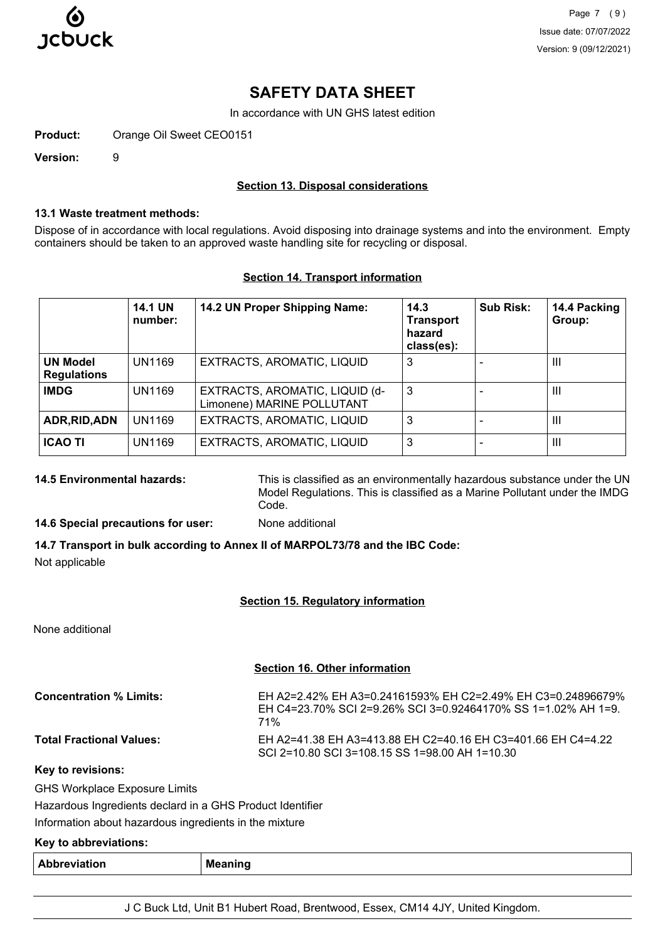

Page 7 (9) Issue date: 07/07/2022 Version: 9 (09/12/2021)

# **SAFETY DATA SHEET**

In accordance with UN GHS latest edition

**Product:** Orange Oil Sweet CEO0151

**Version:** 9

#### **Section 13. Disposal considerations**

#### **13.1 Waste treatment methods:**

Dispose of in accordance with local regulations. Avoid disposing into drainage systems and into the environment. Empty containers should be taken to an approved waste handling site for recycling or disposal.

#### **Section 14. Transport information**

|                                       | <b>14.1 UN</b><br>number: | 14.2 UN Proper Shipping Name:                                | 14.3<br><b>Transport</b><br>hazard<br>class(es): | Sub Risk: | 14.4 Packing<br>Group: |
|---------------------------------------|---------------------------|--------------------------------------------------------------|--------------------------------------------------|-----------|------------------------|
| <b>UN Model</b><br><b>Regulations</b> | UN1169                    | EXTRACTS, AROMATIC, LIQUID                                   | 3                                                |           | $\mathbf{III}$         |
| <b>IMDG</b>                           | UN1169                    | EXTRACTS, AROMATIC, LIQUID (d-<br>Limonene) MARINE POLLUTANT | 3                                                |           | Ш                      |
| ADR, RID, ADN                         | UN1169                    | EXTRACTS, AROMATIC, LIQUID                                   | 3                                                |           | $\mathbf{III}$         |
| <b>ICAO TI</b>                        | <b>UN1169</b>             | EXTRACTS, AROMATIC, LIQUID                                   | 3                                                |           | $\mathbf{III}$         |

**14.5 Environmental hazards:** This is classified as an environmentally hazardous substance under the UN Model Regulations. This is classified as a Marine Pollutant under the IMDG Code.

#### **14.6 Special precautions for user:** None additional

**14.7 Transport in bulk according to Annex II of MARPOL73/78 and the IBC Code:** Not applicable

#### **Section 15. Regulatory information**

None additional

#### **Section 16. Other information**

| <b>Concentration % Limits:</b>  | EH A2=2.42% EH A3=0.24161593% EH C2=2.49% EH C3=0.24896679%<br>EH C4=23.70% SCI 2=9.26% SCI 3=0.92464170% SS 1=1.02% AH 1=9.<br>71% |
|---------------------------------|-------------------------------------------------------------------------------------------------------------------------------------|
| <b>Total Fractional Values:</b> | EH A2=41.38 EH A3=413.88 EH C2=40.16 EH C3=401.66 EH C4=4.22<br>SCI 2=10.80 SCI 3=108.15 SS 1=98.00 AH 1=10.30                      |

**Key to revisions:**

GHS Workplace Exposure Limits

Hazardous Ingredients declard in a GHS Product Identifier

Information about hazardous ingredients in the mixture

#### **Key to abbreviations:**

| Abl<br>reviation<br>. | ,,,,,<br><b>Me</b><br> |
|-----------------------|------------------------|
|-----------------------|------------------------|

J C Buck Ltd, Unit B1 Hubert Road, Brentwood, Essex, CM14 4JY, United Kingdom.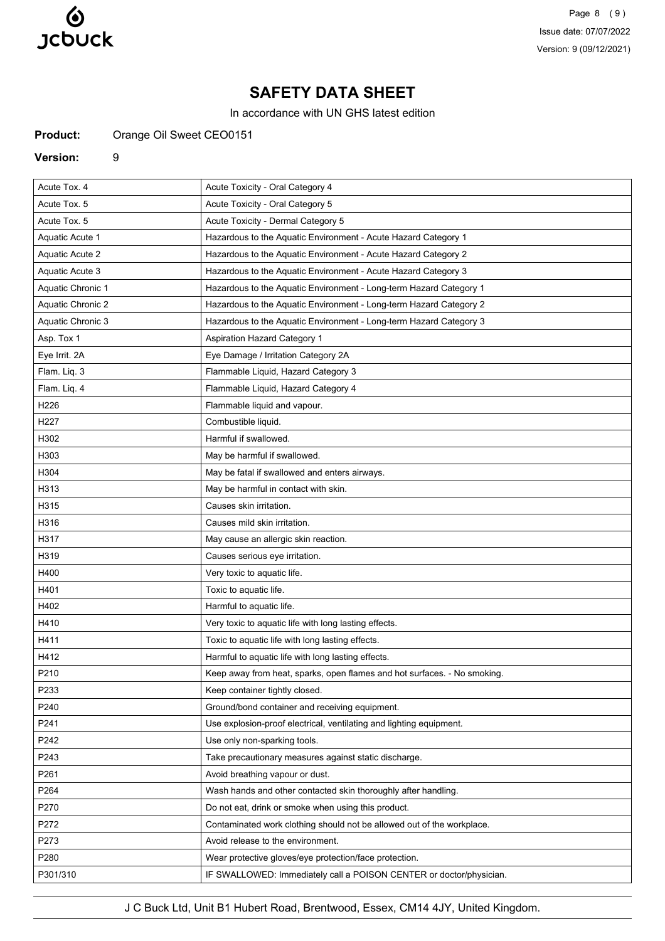

Page 8 (9) Issue date: 07/07/2022 Version: 9 (09/12/2021)

# **SAFETY DATA SHEET**

In accordance with UN GHS latest edition

**Product:** Orange Oil Sweet CEO0151

#### **Version:** 9

| Acute Tox. 4             | Acute Toxicity - Oral Category 4                                         |
|--------------------------|--------------------------------------------------------------------------|
| Acute Tox. 5             | Acute Toxicity - Oral Category 5                                         |
| Acute Tox. 5             | Acute Toxicity - Dermal Category 5                                       |
| <b>Aquatic Acute 1</b>   | Hazardous to the Aquatic Environment - Acute Hazard Category 1           |
| <b>Aquatic Acute 2</b>   | Hazardous to the Aquatic Environment - Acute Hazard Category 2           |
| Aquatic Acute 3          | Hazardous to the Aquatic Environment - Acute Hazard Category 3           |
| <b>Aquatic Chronic 1</b> | Hazardous to the Aquatic Environment - Long-term Hazard Category 1       |
| Aquatic Chronic 2        | Hazardous to the Aquatic Environment - Long-term Hazard Category 2       |
| Aquatic Chronic 3        | Hazardous to the Aquatic Environment - Long-term Hazard Category 3       |
| Asp. Tox 1               | <b>Aspiration Hazard Category 1</b>                                      |
| Eye Irrit. 2A            | Eye Damage / Irritation Category 2A                                      |
| Flam. Liq. 3             | Flammable Liquid, Hazard Category 3                                      |
| Flam. Liq. 4             | Flammable Liquid, Hazard Category 4                                      |
| H226                     | Flammable liquid and vapour.                                             |
| H227                     | Combustible liquid.                                                      |
| H302                     | Harmful if swallowed.                                                    |
| H303                     | May be harmful if swallowed.                                             |
| H304                     | May be fatal if swallowed and enters airways.                            |
| H313                     | May be harmful in contact with skin.                                     |
| H315                     | Causes skin irritation.                                                  |
| H316                     | Causes mild skin irritation.                                             |
| H317                     | May cause an allergic skin reaction.                                     |
| H319                     | Causes serious eye irritation.                                           |
| H400                     | Very toxic to aquatic life.                                              |
| H401                     | Toxic to aquatic life.                                                   |
| H402                     | Harmful to aquatic life.                                                 |
| H410                     | Very toxic to aquatic life with long lasting effects.                    |
| H411                     | Toxic to aquatic life with long lasting effects.                         |
| H412                     | Harmful to aquatic life with long lasting effects.                       |
| P210                     | Keep away from heat, sparks, open flames and hot surfaces. - No smoking. |
| P233                     | Keep container tightly closed.                                           |
| P240                     | Ground/bond container and receiving equipment.                           |
| P241                     | Use explosion-proof electrical, ventilating and lighting equipment.      |
| P242                     | Use only non-sparking tools.                                             |
| P243                     | Take precautionary measures against static discharge.                    |
| P261                     | Avoid breathing vapour or dust.                                          |
| P264                     | Wash hands and other contacted skin thoroughly after handling.           |
| P270                     | Do not eat, drink or smoke when using this product.                      |
| P272                     | Contaminated work clothing should not be allowed out of the workplace.   |
| P273                     | Avoid release to the environment.                                        |
| P280                     | Wear protective gloves/eye protection/face protection.                   |
| P301/310                 | IF SWALLOWED: Immediately call a POISON CENTER or doctor/physician.      |

J C Buck Ltd, Unit B1 Hubert Road, Brentwood, Essex, CM14 4JY, United Kingdom.